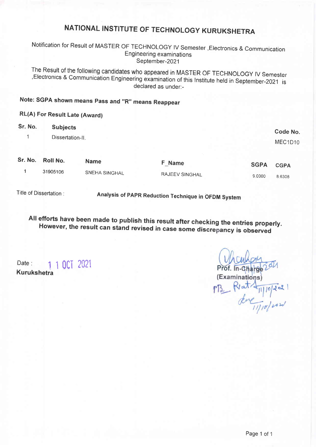# NATIONAL INSTITUTE OF TECHNOLOGY KURUKSHETRA

Notification for Result of MASTER oF TECHNoLoGY lV Semester ,Electronics & communication Engineering examinations September-2021

The Result of the following candidates who appeared in MASTER oF TECHNoLOGY tV semester Electronics & Communication Engineering examination of this Institute held in September-2021 is<br>declared as under:-

## Note: SGPA shown means pass and "R" means Reappear

### RL(A) For Result Late (Award)

| Sr. No. | <b>Subjects</b>  |               |                |             | Code No.    |
|---------|------------------|---------------|----------------|-------------|-------------|
| A       | Dissertation-II. |               |                |             | MEC1D10     |
| Sr. No. | <b>Roll No.</b>  | <b>Name</b>   | F Name         | <b>SGPA</b> | <b>CGPA</b> |
|         | 31905106         | SNEHA SINGHAL | RAJEEV SINGHAL | 9.0000      | 8.6308      |
|         |                  |               |                |             |             |

Title of Dissertation :

Analysis of pApR Reduction Technique in OFDM System

All efforts have been made to publish this result after checking the entries properly.<br>However, the result can stand revised in case some discrepancy is observed

Date: 1 1 0CT 2021 Kurukshetra

Prof. (Examinations)  $\text{PB}_{2}$  Riat  $\text{H10}^{2}$